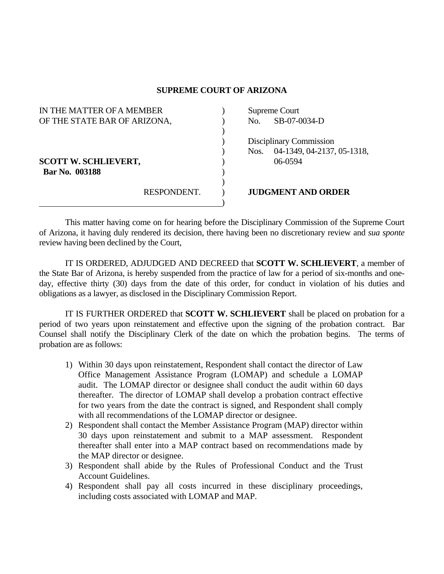## **SUPREME COURT OF ARIZONA**

| IN THE MATTER OF A MEMBER    |             | Supreme Court           |                            |
|------------------------------|-------------|-------------------------|----------------------------|
| OF THE STATE BAR OF ARIZONA, |             | No.                     | SB-07-0034-D               |
|                              |             |                         |                            |
|                              |             | Disciplinary Commission |                            |
|                              |             | Nos.                    | 04-1349, 04-2137, 05-1318, |
| <b>SCOTT W. SCHLIEVERT,</b>  |             |                         | 06-0594                    |
| Bar No. 003188               |             |                         |                            |
|                              |             |                         |                            |
|                              | RESPONDENT. |                         | <b>JUDGMENT AND ORDER</b>  |
|                              |             |                         |                            |

 This matter having come on for hearing before the Disciplinary Commission of the Supreme Court of Arizona, it having duly rendered its decision, there having been no discretionary review and *sua sponte* review having been declined by the Court,

 IT IS ORDERED, ADJUDGED AND DECREED that **SCOTT W. SCHLIEVERT**, a member of the State Bar of Arizona, is hereby suspended from the practice of law for a period of six-months and oneday, effective thirty (30) days from the date of this order, for conduct in violation of his duties and obligations as a lawyer, as disclosed in the Disciplinary Commission Report.

 IT IS FURTHER ORDERED that **SCOTT W. SCHLIEVERT** shall be placed on probation for a period of two years upon reinstatement and effective upon the signing of the probation contract. Bar Counsel shall notify the Disciplinary Clerk of the date on which the probation begins. The terms of probation are as follows:

- 1) Within 30 days upon reinstatement, Respondent shall contact the director of Law Office Management Assistance Program (LOMAP) and schedule a LOMAP audit. The LOMAP director or designee shall conduct the audit within 60 days thereafter. The director of LOMAP shall develop a probation contract effective for two years from the date the contract is signed, and Respondent shall comply with all recommendations of the LOMAP director or designee.
- 2) Respondent shall contact the Member Assistance Program (MAP) director within 30 days upon reinstatement and submit to a MAP assessment. Respondent thereafter shall enter into a MAP contract based on recommendations made by the MAP director or designee.
- 3) Respondent shall abide by the Rules of Professional Conduct and the Trust Account Guidelines.
- 4) Respondent shall pay all costs incurred in these disciplinary proceedings, including costs associated with LOMAP and MAP.